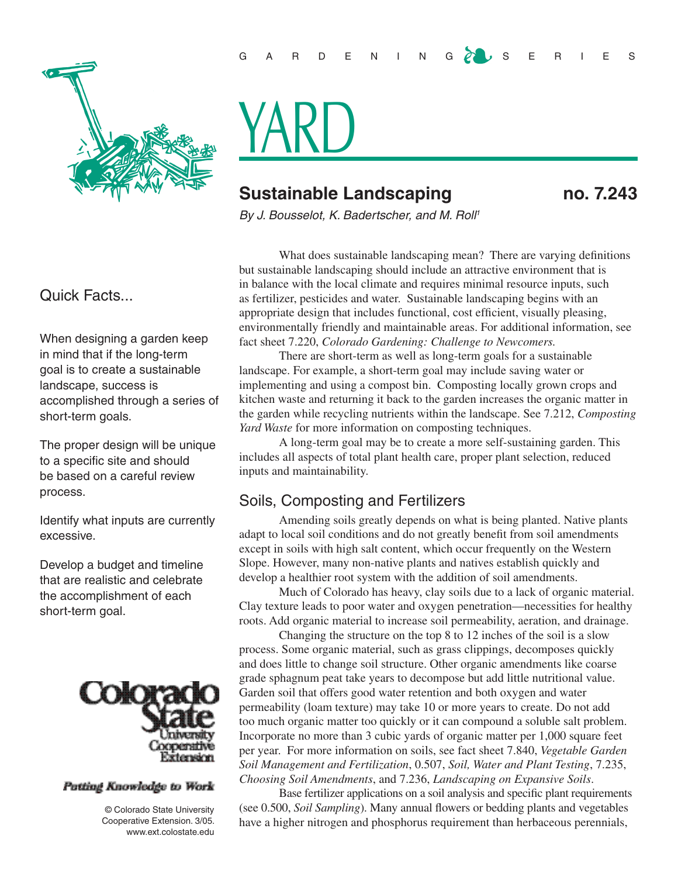



# **YARD**

# **Sustainable Landscaping ho. 7.243**

*By J. Bousselot, K. Badertscher, and M. Roll1*

What does sustainable landscaping mean? There are varying definitions but sustainable landscaping should include an attractive environment that is in balance with the local climate and requires minimal resource inputs, such as fertilizer, pesticides and water. Sustainable landscaping begins with an appropriate design that includes functional, cost efficient, visually pleasing, environmentally friendly and maintainable areas. For additional information, see fact sheet 7.220, *Colorado Gardening: Challenge to Newcomers.*

There are short-term as well as long-term goals for a sustainable landscape. For example, a short-term goal may include saving water or implementing and using a compost bin. Composting locally grown crops and kitchen waste and returning it back to the garden increases the organic matter in the garden while recycling nutrients within the landscape. See 7.212, *Composting Yard Waste* for more information on composting techniques.

A long-term goal may be to create a more self-sustaining garden. This includes all aspects of total plant health care, proper plant selection, reduced inputs and maintainability.

## Soils, Composting and Fertilizers

Amending soils greatly depends on what is being planted. Native plants adapt to local soil conditions and do not greatly benefit from soil amendments except in soils with high salt content, which occur frequently on the Western Slope. However, many non-native plants and natives establish quickly and develop a healthier root system with the addition of soil amendments.

Much of Colorado has heavy, clay soils due to a lack of organic material. Clay texture leads to poor water and oxygen penetration—necessities for healthy roots. Add organic material to increase soil permeability, aeration, and drainage.

Changing the structure on the top 8 to 12 inches of the soil is a slow process. Some organic material, such as grass clippings, decomposes quickly and does little to change soil structure. Other organic amendments like coarse grade sphagnum peat take years to decompose but add little nutritional value. Garden soil that offers good water retention and both oxygen and water permeability (loam texture) may take 10 or more years to create. Do not add too much organic matter too quickly or it can compound a soluble salt problem. Incorporate no more than 3 cubic yards of organic matter per 1,000 square feet per year. For more information on soils, see fact sheet 7.840, *Vegetable Garden Soil Management and Fertilization*, 0.507, *Soil, Water and Plant Testing*, 7.235, *Choosing Soil Amendments*, and 7.236, *Landscaping on Expansive Soils*.

Base fertilizer applications on a soil analysis and specific plant requirements (see 0.500, *Soil Sampling*). Many annual flowers or bedding plants and vegetables have a higher nitrogen and phosphorus requirement than herbaceous perennials,

## Quick Facts...

When designing a garden keep in mind that if the long-term goal is to create a sustainable landscape, success is accomplished through a series of short-term goals.

The proper design will be unique to a specific site and should be based on a careful review process.

Identify what inputs are currently excessive.

Develop a budget and timeline that are realistic and celebrate the accomplishment of each short-term goal.



## Patting Knowledge to Work

 © Colorado State University Cooperative Extension. 3/05. www.ext.colostate.edu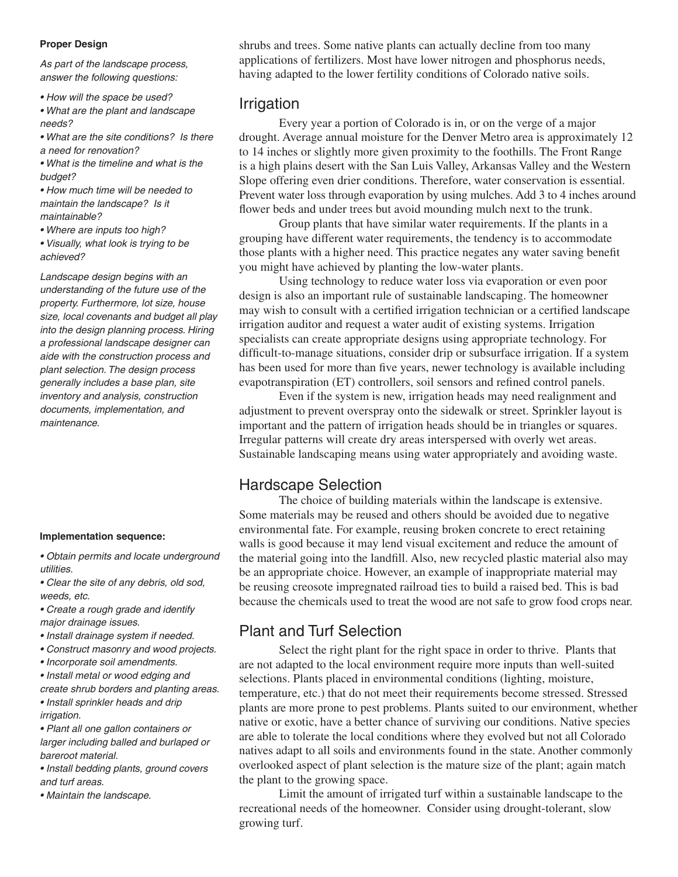#### **Proper Design**

*As part of the landscape process, answer the following questions:* 

- *How will the space be used?*
- *What are the plant and landscape needs?*
- *What are the site conditions? Is there a need for renovation?*

*• What is the timeline and what is the budget?*

*• How much time will be needed to maintain the landscape? Is it maintainable?*

*• Where are inputs too high?*

*• Visually, what look is trying to be achieved?*

*Landscape design begins with an understanding of the future use of the property. Furthermore, lot size, house size, local covenants and budget all play into the design planning process. Hiring a professional landscape designer can aide with the construction process and plant selection. The design process generally includes a base plan, site inventory and analysis, construction documents, implementation, and maintenance.* 

#### **Implementation sequence:**

- *Obtain permits and locate underground utilities.*
- *Clear the site of any debris, old sod, weeds, etc.*
- *Create a rough grade and identify major drainage issues.*
- *Install drainage system if needed.*
- *Construct masonry and wood projects.*
- *Incorporate soil amendments.*
- *Install metal or wood edging and create shrub borders and planting areas.*

*• Install sprinkler heads and drip irrigation.* 

*• Plant all one gallon containers or larger including balled and burlaped or bareroot material.*

*• Install bedding plants, ground covers and turf areas.*

*• Maintain the landscape.*

shrubs and trees. Some native plants can actually decline from too many applications of fertilizers. Most have lower nitrogen and phosphorus needs, having adapted to the lower fertility conditions of Colorado native soils.

## Irrigation

Every year a portion of Colorado is in, or on the verge of a major drought. Average annual moisture for the Denver Metro area is approximately 12 to 14 inches or slightly more given proximity to the foothills. The Front Range is a high plains desert with the San Luis Valley, Arkansas Valley and the Western Slope offering even drier conditions. Therefore, water conservation is essential. Prevent water loss through evaporation by using mulches. Add 3 to 4 inches around flower beds and under trees but avoid mounding mulch next to the trunk.

Group plants that have similar water requirements. If the plants in a grouping have different water requirements, the tendency is to accommodate those plants with a higher need. This practice negates any water saving benefit you might have achieved by planting the low-water plants.

Using technology to reduce water loss via evaporation or even poor design is also an important rule of sustainable landscaping. The homeowner may wish to consult with a certified irrigation technician or a certified landscape irrigation auditor and request a water audit of existing systems. Irrigation specialists can create appropriate designs using appropriate technology. For difficult-to-manage situations, consider drip or subsurface irrigation. If a system has been used for more than five years, newer technology is available including evapotranspiration (ET) controllers, soil sensors and refined control panels.

Even if the system is new, irrigation heads may need realignment and adjustment to prevent overspray onto the sidewalk or street. Sprinkler layout is important and the pattern of irrigation heads should be in triangles or squares. Irregular patterns will create dry areas interspersed with overly wet areas. Sustainable landscaping means using water appropriately and avoiding waste.

## Hardscape Selection

The choice of building materials within the landscape is extensive. Some materials may be reused and others should be avoided due to negative environmental fate. For example, reusing broken concrete to erect retaining walls is good because it may lend visual excitement and reduce the amount of the material going into the landfill. Also, new recycled plastic material also may be an appropriate choice. However, an example of inappropriate material may be reusing creosote impregnated railroad ties to build a raised bed. This is bad because the chemicals used to treat the wood are not safe to grow food crops near.

## Plant and Turf Selection

Select the right plant for the right space in order to thrive. Plants that are not adapted to the local environment require more inputs than well-suited selections. Plants placed in environmental conditions (lighting, moisture, temperature, etc.) that do not meet their requirements become stressed. Stressed plants are more prone to pest problems. Plants suited to our environment, whether native or exotic, have a better chance of surviving our conditions. Native species are able to tolerate the local conditions where they evolved but not all Colorado natives adapt to all soils and environments found in the state. Another commonly overlooked aspect of plant selection is the mature size of the plant; again match the plant to the growing space.

Limit the amount of irrigated turf within a sustainable landscape to the recreational needs of the homeowner. Consider using drought-tolerant, slow growing turf.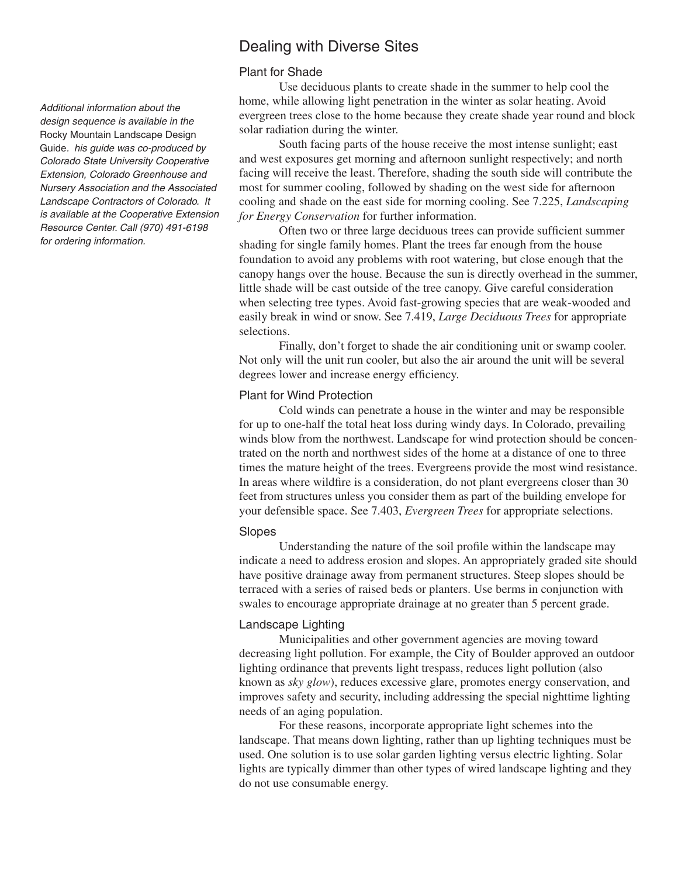*Additional information about the design sequence is available in the*  Rocky Mountain Landscape Design Guide*. his guide was co-produced by Colorado State University Cooperative Extension, Colorado Greenhouse and Nursery Association and the Associated Landscape Contractors of Colorado. It is available at the Cooperative Extension Resource Center. Call (970) 491-6198 for ordering information.* 

## Dealing with Diverse Sites

#### Plant for Shade

Use deciduous plants to create shade in the summer to help cool the home, while allowing light penetration in the winter as solar heating. Avoid evergreen trees close to the home because they create shade year round and block solar radiation during the winter.

South facing parts of the house receive the most intense sunlight; east and west exposures get morning and afternoon sunlight respectively; and north facing will receive the least. Therefore, shading the south side will contribute the most for summer cooling, followed by shading on the west side for afternoon cooling and shade on the east side for morning cooling. See 7.225, *Landscaping for Energy Conservation* for further information.

Often two or three large deciduous trees can provide sufficient summer shading for single family homes. Plant the trees far enough from the house foundation to avoid any problems with root watering, but close enough that the canopy hangs over the house. Because the sun is directly overhead in the summer, little shade will be cast outside of the tree canopy. Give careful consideration when selecting tree types. Avoid fast-growing species that are weak-wooded and easily break in wind or snow. See 7.419, *Large Deciduous Trees* for appropriate selections.

Finally, don't forget to shade the air conditioning unit or swamp cooler. Not only will the unit run cooler, but also the air around the unit will be several degrees lower and increase energy efficiency.

### Plant for Wind Protection

Cold winds can penetrate a house in the winter and may be responsible for up to one-half the total heat loss during windy days. In Colorado, prevailing winds blow from the northwest. Landscape for wind protection should be concentrated on the north and northwest sides of the home at a distance of one to three times the mature height of the trees. Evergreens provide the most wind resistance. In areas where wildfire is a consideration, do not plant evergreens closer than 30 feet from structures unless you consider them as part of the building envelope for your defensible space. See 7.403, *Evergreen Trees* for appropriate selections.

#### Slopes

Understanding the nature of the soil profile within the landscape may indicate a need to address erosion and slopes. An appropriately graded site should have positive drainage away from permanent structures. Steep slopes should be terraced with a series of raised beds or planters. Use berms in conjunction with swales to encourage appropriate drainage at no greater than 5 percent grade.

#### Landscape Lighting

Municipalities and other government agencies are moving toward decreasing light pollution. For example, the City of Boulder approved an outdoor lighting ordinance that prevents light trespass, reduces light pollution (also known as *sky glow*), reduces excessive glare, promotes energy conservation, and improves safety and security, including addressing the special nighttime lighting needs of an aging population.

For these reasons, incorporate appropriate light schemes into the landscape. That means down lighting, rather than up lighting techniques must be used. One solution is to use solar garden lighting versus electric lighting. Solar lights are typically dimmer than other types of wired landscape lighting and they do not use consumable energy.